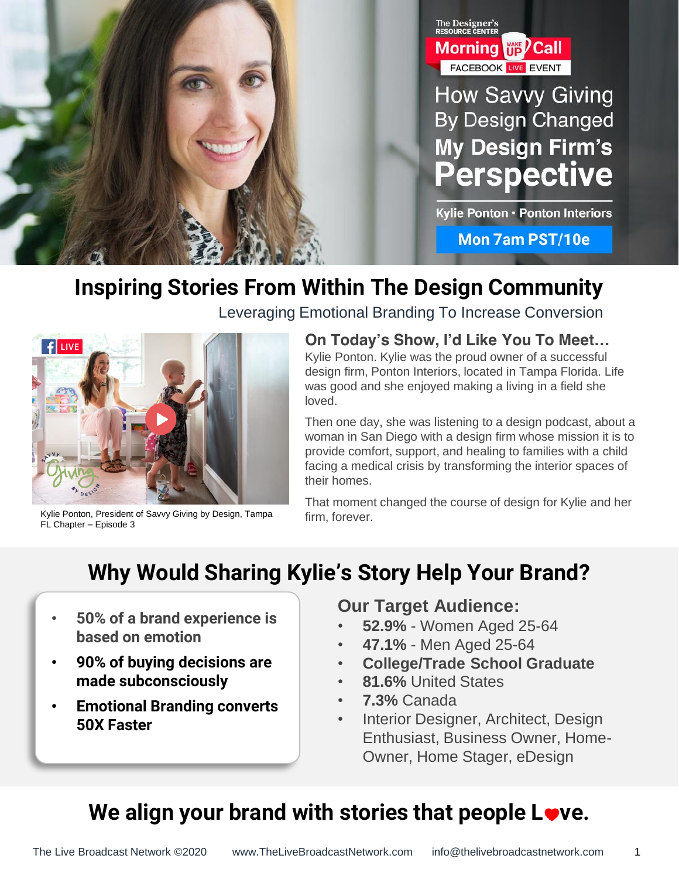

## **Inspiring Stories From Within The Design Community**



FL Chapter – Episode 3

Leveraging Emotional Branding To Increase Conversion

**On Today's Show, I'd Like You To Meet…** Kylie Ponton. Kylie was the proud owner of a successful design firm, Ponton Interiors, located in Tampa Florida. Life was good and she enjoyed making a living in a field she loved.

Then one day, she was listening to a design podcast, about a woman in San Diego with a design firm whose mission it is to provide comfort, support, and healing to families with a child facing a medical crisis by transforming the interior spaces of their homes.

That moment changed the course of design for Kylie and her firm, forever.

## **Why Would Sharing Kylie's Story Help Your Brand?**

- **50% of a brand experience is based on emotion**
- **90% of buying decisions are made subconsciously**
- **Emotional Branding converts 50X Faster**

### **Our Target Audience:**

- **52.9%**  Women Aged 25-64
- **47.1%**  Men Aged 25-64
- **College/Trade School Graduate**
- **81.6%** United States
- **7.3%** Canada
- Interior Designer, Architect, Design Enthusiast, Business Owner, Home-Owner, Home Stager, eDesign

1

## We align your brand with stories that people Love.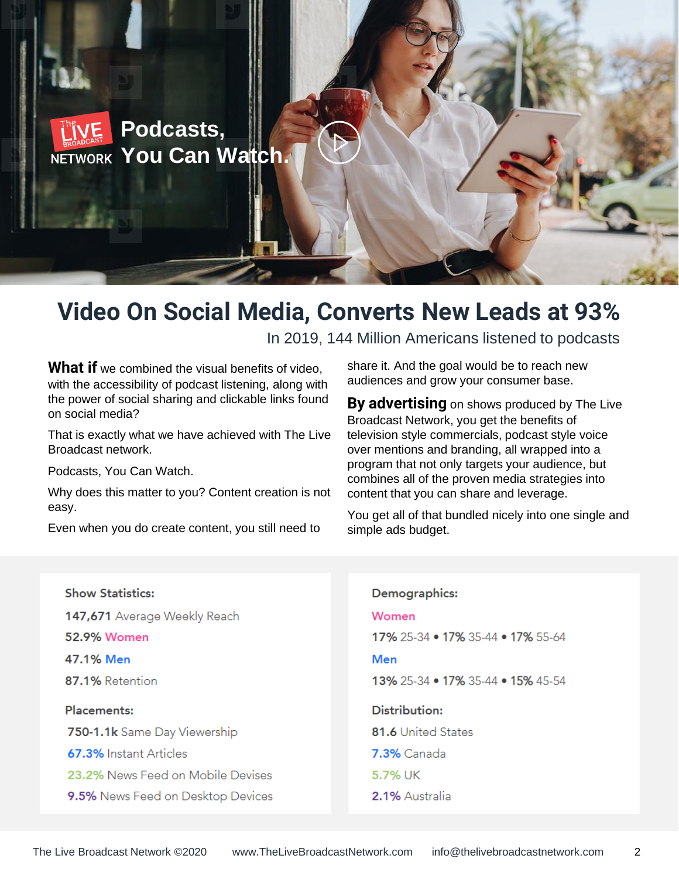

## **Video On Social Media, Converts New Leads at 93%**

In 2019, 144 Million Americans listened to podcasts

What if we combined the visual benefits of video, with the accessibility of podcast listening, along with the power of social sharing and clickable links found on social media?

That is exactly what we have achieved with The Live Broadcast network.

Podcasts, You Can Watch.

Why does this matter to you? Content creation is not easy.

Even when you do create content, you still need to

share it. And the goal would be to reach new audiences and grow your consumer base.

**By advertising** on shows produced by The Live Broadcast Network, you get the benefits of television style commercials, podcast style voice over mentions and branding, all wrapped into a program that not only targets your audience, but combines all of the proven media strategies into content that you can share and leverage.

You get all of that bundled nicely into one single and simple ads budget.

| <b>Show Statistics:</b>           | Demographics:                     |
|-----------------------------------|-----------------------------------|
| 147,671 Average Weekly Reach      | Women                             |
| 52.9% Women                       | 17% 25-34 • 17% 35-44 • 17% 55-64 |
| 47.1% Men                         | Men                               |
| 87.1% Retention                   | 13% 25-34 • 17% 35-44 • 15% 45-54 |
|                                   |                                   |
| <b>Placements:</b>                | Distribution:                     |
| 750-1.1k Same Day Viewership      | <b>81.6 United States</b>         |
| 67.3% Instant Articles            | <b>7.3%</b> Canada                |
| 23.2% News Feed on Mobile Devises | 5.7% UK                           |
| 9.5% News Feed on Desktop Devices | 2.1% Australia                    |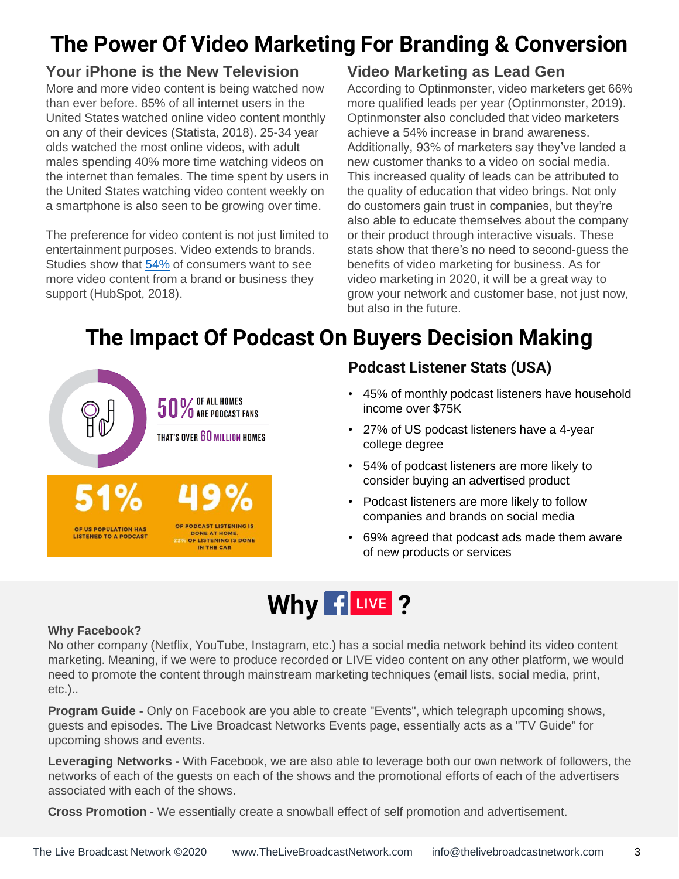## **The Power Of Video Marketing For Branding & Conversion**

### **Your iPhone is the New Television**

More and more video content is being watched now than ever before. 85% of all internet users in the United States watched online video content monthly on any of their devices (Statista, 2018). 25-34 year olds watched the most online videos, with adult males spending 40% more time watching videos on the internet than females. The time spent by users in the United States watching video content weekly on a smartphone is also seen to be growing over time.

The preference for video content is not just limited to entertainment purposes. Video extends to brands. Studies show that [54%](https://blog.hubspot.com/news-trends/content-trends-preferences) of consumers want to see more video content from a brand or business they support (HubSpot, 2018).

### **Video Marketing as Lead Gen**

According to Optinmonster, video marketers get 66% more qualified leads per year (Optinmonster, 2019). Optinmonster also concluded that video marketers achieve a 54% increase in brand awareness. Additionally, 93% of marketers say they've landed a new customer thanks to a video on social media. This increased quality of leads can be attributed to the quality of education that video brings. Not only do customers gain trust in companies, but they're also able to educate themselves about the company or their product through interactive visuals. These stats show that there's no need to second-guess the benefits of video marketing for business. As for video marketing in 2020, it will be a great way to grow your network and customer base, not just now, but also in the future.

## **The Impact Of Podcast On Buyers Decision Making**



### **Podcast Listener Stats (USA)**

- 45% of monthly podcast listeners have household income over \$75K
- 27% of US podcast listeners have a 4-year college degree
- 54% of podcast listeners are more likely to consider buying an advertised product
- Podcast listeners are more likely to follow companies and brands on social media
- 69% agreed that podcast ads made them aware of new products or services

# Why fuve?

#### **Why Facebook?**

No other company (Netflix, YouTube, Instagram, etc.) has a social media network behind its video content marketing. Meaning, if we were to produce recorded or LIVE video content on any other platform, we would need to promote the content through mainstream marketing techniques (email lists, social media, print, etc.)..

**Program Guide -** Only on Facebook are you able to create "Events", which telegraph upcoming shows, guests and episodes. The Live Broadcast Networks Events page, essentially acts as a "TV Guide" for upcoming shows and events.

**Leveraging Networks -** With Facebook, we are also able to leverage both our own network of followers, the networks of each of the guests on each of the shows and the promotional efforts of each of the advertisers associated with each of the shows.

**Cross Promotion -** We essentially create a snowball effect of self promotion and advertisement.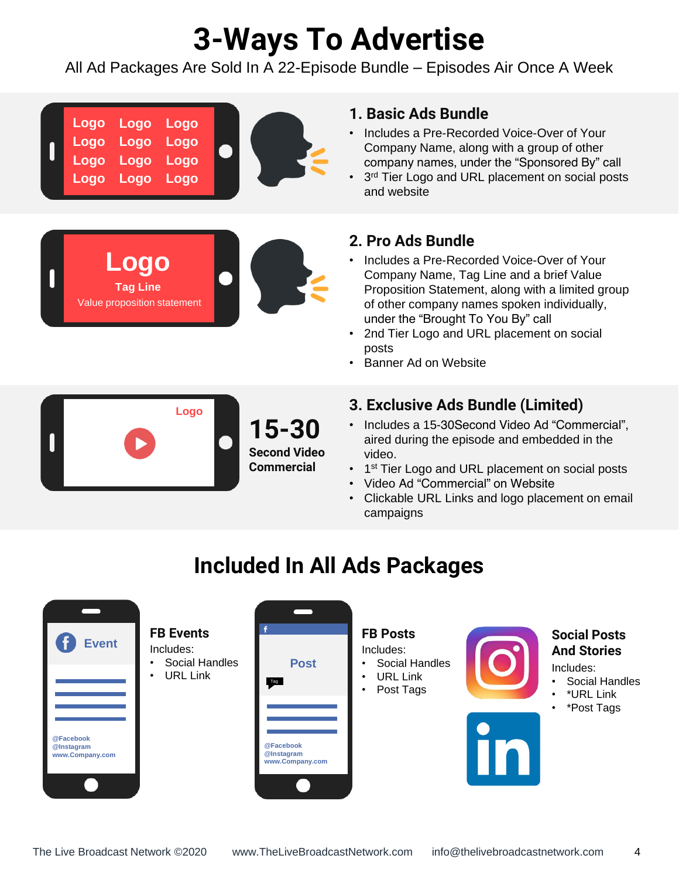# **3-Ways To Advertise**

All Ad Packages Are Sold In A 22-Episode Bundle – Episodes Air Once A Week



#### **1. Basic Ads Bundle**

- Includes a Pre-Recorded Voice-Over of Your Company Name, along with a group of other company names, under the "Sponsored By" call
- 3<sup>rd</sup> Tier Logo and URL placement on social posts and website

#### **2. Pro Ads Bundle**

- Includes a Pre-Recorded Voice-Over of Your Company Name, Tag Line and a brief Value Proposition Statement, along with a limited group of other company names spoken individually, under the "Brought To You By" call
- 2nd Tier Logo and URL placement on social posts
- Banner Ad on Website



### **3. Exclusive Ads Bundle (Limited)**

- Includes a 15-30Second Video Ad "Commercial", aired during the episode and embedded in the video.
- 1<sup>st</sup> Tier Logo and URL placement on social posts
- Video Ad "Commercial" on Website
- Clickable URL Links and logo placement on email campaigns

## **Included In All Ads Packages**